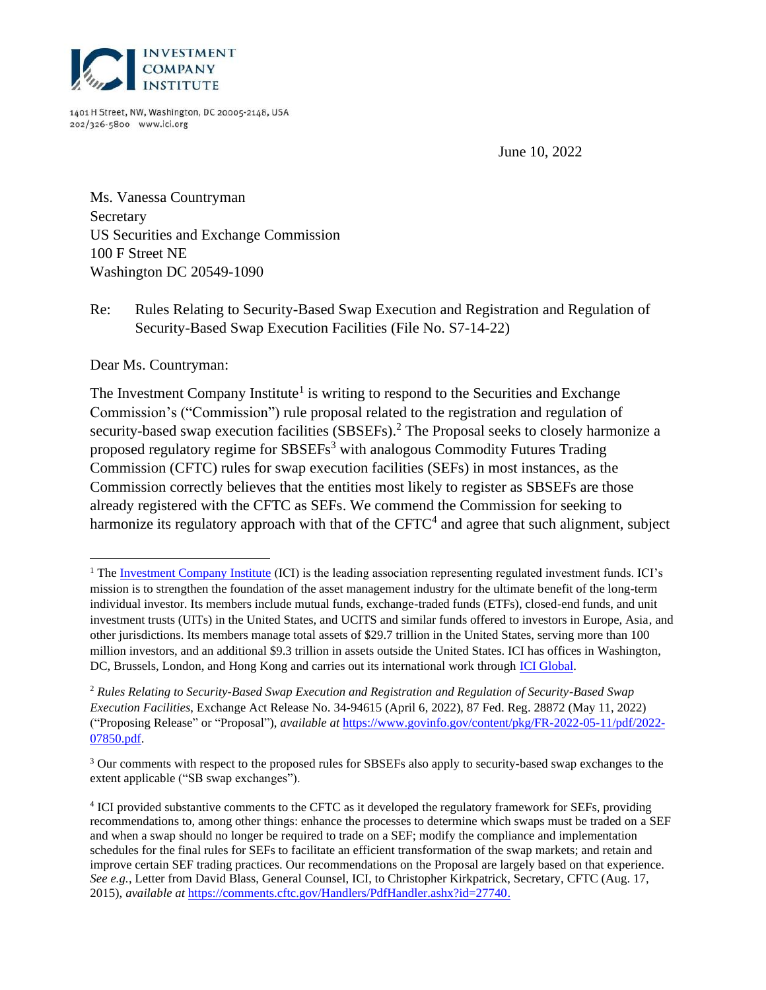

1401 H Street, NW, Washington, DC 20005-2148, USA 202/326-5800 www.ici.org

June 10, 2022

<span id="page-0-0"></span>Ms. Vanessa Countryman Secretary US Securities and Exchange Commission 100 F Street NE Washington DC 20549-1090

Re: Rules Relating to Security-Based Swap Execution and Registration and Regulation of Security-Based Swap Execution Facilities (File No. S7-14-22)

Dear Ms. Countryman:

The Investment Company Institute<sup>1</sup> is writing to respond to the Securities and Exchange Commission's ("Commission") rule proposal related to the registration and regulation of security-based swap execution facilities (SBSEFs).<sup>2</sup> The Proposal seeks to closely harmonize a proposed regulatory regime for SBSEFs<sup>3</sup> with analogous Commodity Futures Trading Commission (CFTC) rules for swap execution facilities (SEFs) in most instances, as the Commission correctly believes that the entities most likely to register as SBSEFs are those already registered with the CFTC as SEFs. We commend the Commission for seeking to harmonize its regulatory approach with that of the  $CFTC<sup>4</sup>$  and agree that such alignment, subject

<sup>&</sup>lt;sup>1</sup> The [Investment Company Institute](https://www.ici.org/) (ICI) is the leading association representing regulated investment funds. ICI's mission is to strengthen the foundation of the asset management industry for the ultimate benefit of the long-term individual investor. Its members include mutual funds, exchange-traded funds (ETFs), closed-end funds, and unit investment trusts (UITs) in the United States, and UCITS and similar funds offered to investors in Europe, Asia, and other jurisdictions. Its members manage total assets of \$29.7 trillion in the United States, serving more than 100 million investors, and an additional \$9.3 trillion in assets outside the United States. ICI has offices in Washington, DC, Brussels, London, and Hong Kong and carries out its international work through [ICI Global.](https://www.ici.org/iciglobal)

<sup>2</sup> *Rules Relating to Security-Based Swap Execution and Registration and Regulation of Security-Based Swap Execution Facilities*, Exchange Act Release No. 34-94615 (April 6, 2022), 87 Fed. Reg. 28872 (May 11, 2022) ("Proposing Release" or "Proposal"), *available at* [https://www.govinfo.gov/content/pkg/FR-2022-05-11/pdf/2022-](https://www.govinfo.gov/content/pkg/FR-2022-05-11/pdf/2022-07850.pdf) [07850.pdf.](https://www.govinfo.gov/content/pkg/FR-2022-05-11/pdf/2022-07850.pdf)

<sup>&</sup>lt;sup>3</sup> Our comments with respect to the proposed rules for SBSEFs also apply to security-based swap exchanges to the extent applicable ("SB swap exchanges").

<sup>&</sup>lt;sup>4</sup> ICI provided substantive comments to the CFTC as it developed the regulatory framework for SEFs, providing recommendations to, among other things: enhance the processes to determine which swaps must be traded on a SEF and when a swap should no longer be required to trade on a SEF; modify the compliance and implementation schedules for the final rules for SEFs to facilitate an efficient transformation of the swap markets; and retain and improve certain SEF trading practices. Our recommendations on the Proposal are largely based on that experience. *See e.g.*, Letter from David Blass, General Counsel, ICI, to Christopher Kirkpatrick, Secretary, CFTC (Aug. 17, 2015), *available at* [https://comments.cftc.gov/Handlers/PdfHandler.ashx?id=27740.](https://comments.cftc.gov/Handlers/PdfHandler.ashx?id=27740)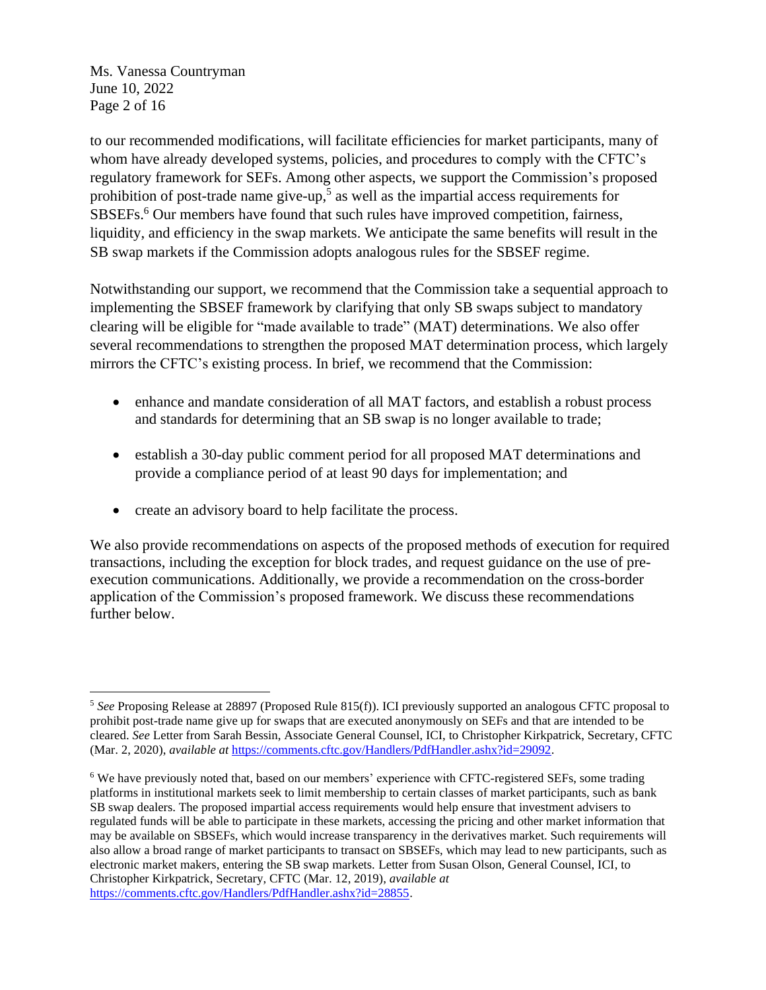[Ms. Vanessa Countryman](#page-0-0) June 10, 2022 Page 2 of 16

to our recommended modifications, will facilitate efficiencies for market participants, many of whom have already developed systems, policies, and procedures to comply with the CFTC's regulatory framework for SEFs. Among other aspects, we support the Commission's proposed prohibition of post-trade name give-up,<sup>5</sup> as well as the impartial access requirements for SBSEFs.<sup>6</sup> Our members have found that such rules have improved competition, fairness, liquidity, and efficiency in the swap markets. We anticipate the same benefits will result in the SB swap markets if the Commission adopts analogous rules for the SBSEF regime.

Notwithstanding our support, we recommend that the Commission take a sequential approach to implementing the SBSEF framework by clarifying that only SB swaps subject to mandatory clearing will be eligible for "made available to trade" (MAT) determinations. We also offer several recommendations to strengthen the proposed MAT determination process, which largely mirrors the CFTC's existing process. In brief, we recommend that the Commission:

- enhance and mandate consideration of all MAT factors, and establish a robust process and standards for determining that an SB swap is no longer available to trade;
- establish a 30-day public comment period for all proposed MAT determinations and provide a compliance period of at least 90 days for implementation; and
- create an advisory board to help facilitate the process.

We also provide recommendations on aspects of the proposed methods of execution for required transactions, including the exception for block trades, and request guidance on the use of preexecution communications. Additionally, we provide a recommendation on the cross-border application of the Commission's proposed framework. We discuss these recommendations further below.

<sup>5</sup> *See* Proposing Release at 28897 (Proposed Rule 815(f)). ICI previously supported an analogous CFTC proposal to prohibit post-trade name give up for swaps that are executed anonymously on SEFs and that are intended to be cleared. *See* Letter from Sarah Bessin, Associate General Counsel, ICI, to Christopher Kirkpatrick, Secretary, CFTC (Mar. 2, 2020), *available at* [https://comments.cftc.gov/Handlers/PdfHandler.ashx?id=29092.](https://comments.cftc.gov/Handlers/PdfHandler.ashx?id=29092)

<sup>&</sup>lt;sup>6</sup> We have previously noted that, based on our members' experience with CFTC-registered SEFs, some trading platforms in institutional markets seek to limit membership to certain classes of market participants, such as bank SB swap dealers. The proposed impartial access requirements would help ensure that investment advisers to regulated funds will be able to participate in these markets, accessing the pricing and other market information that may be available on SBSEFs, which would increase transparency in the derivatives market. Such requirements will also allow a broad range of market participants to transact on SBSEFs, which may lead to new participants, such as electronic market makers, entering the SB swap markets. Letter from Susan Olson, General Counsel, ICI, to Christopher Kirkpatrick, Secretary, CFTC (Mar. 12, 2019), *available at* [https://comments.cftc.gov/Handlers/PdfHandler.ashx?id=28855.](https://comments.cftc.gov/Handlers/PdfHandler.ashx?id=28855)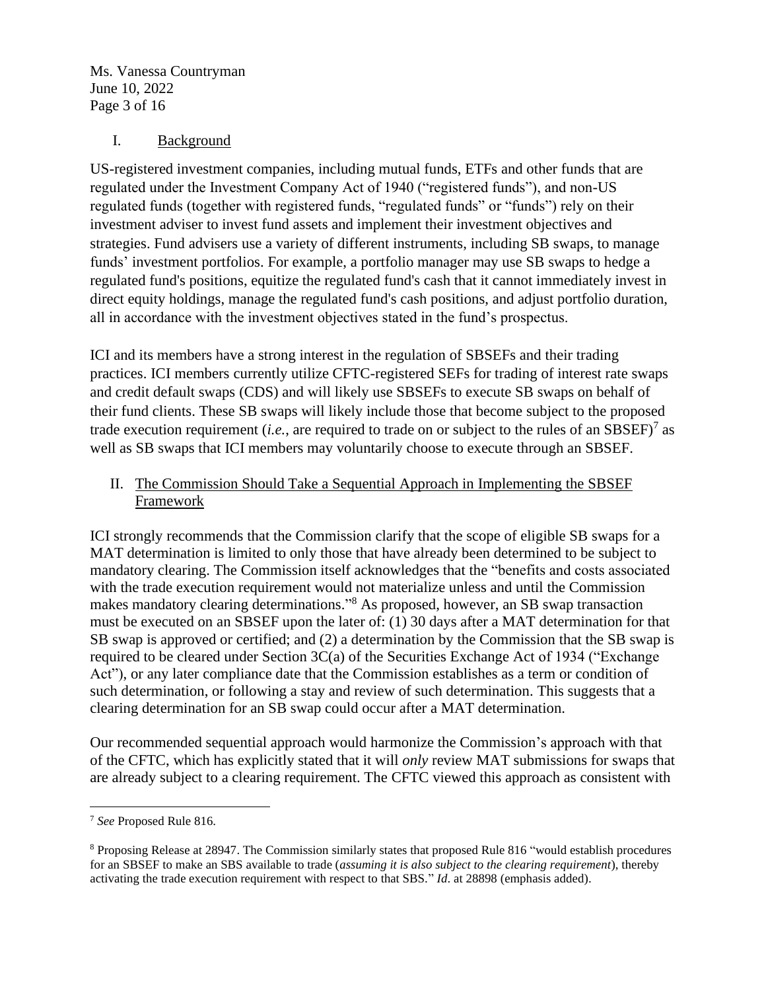[Ms. Vanessa Countryman](#page-0-0) June 10, 2022 Page 3 of 16

#### I. Background

US-registered investment companies, including mutual funds, ETFs and other funds that are regulated under the Investment Company Act of 1940 ("registered funds"), and non-US regulated funds (together with registered funds, "regulated funds" or "funds") rely on their investment adviser to invest fund assets and implement their investment objectives and strategies. Fund advisers use a variety of different instruments, including SB swaps, to manage funds' investment portfolios. For example, a portfolio manager may use SB swaps to hedge a regulated fund's positions, equitize the regulated fund's cash that it cannot immediately invest in direct equity holdings, manage the regulated fund's cash positions, and adjust portfolio duration, all in accordance with the investment objectives stated in the fund's prospectus.

ICI and its members have a strong interest in the regulation of SBSEFs and their trading practices. ICI members currently utilize CFTC-registered SEFs for trading of interest rate swaps and credit default swaps (CDS) and will likely use SBSEFs to execute SB swaps on behalf of their fund clients. These SB swaps will likely include those that become subject to the proposed trade execution requirement (*i.e.*, are required to trade on or subject to the rules of an SBSEF)<sup>7</sup> as well as SB swaps that ICI members may voluntarily choose to execute through an SBSEF.

### II. The Commission Should Take a Sequential Approach in Implementing the SBSEF **Framework**

ICI strongly recommends that the Commission clarify that the scope of eligible SB swaps for a MAT determination is limited to only those that have already been determined to be subject to mandatory clearing. The Commission itself acknowledges that the "benefits and costs associated with the trade execution requirement would not materialize unless and until the Commission makes mandatory clearing determinations."<sup>8</sup> As proposed, however, an SB swap transaction must be executed on an SBSEF upon the later of: (1) 30 days after a MAT determination for that SB swap is approved or certified; and (2) a determination by the Commission that the SB swap is required to be cleared under Section 3C(a) of the Securities Exchange Act of 1934 ("Exchange Act"), or any later compliance date that the Commission establishes as a term or condition of such determination, or following a stay and review of such determination. This suggests that a clearing determination for an SB swap could occur after a MAT determination.

Our recommended sequential approach would harmonize the Commission's approach with that of the CFTC, which has explicitly stated that it will *only* review MAT submissions for swaps that are already subject to a clearing requirement. The CFTC viewed this approach as consistent with

<sup>7</sup> *See* Proposed Rule 816.

<sup>8</sup> Proposing Release at 28947. The Commission similarly states that proposed Rule 816 "would establish procedures for an SBSEF to make an SBS available to trade (*assuming it is also subject to the clearing requirement*), thereby activating the trade execution requirement with respect to that SBS." *Id*. at 28898 (emphasis added).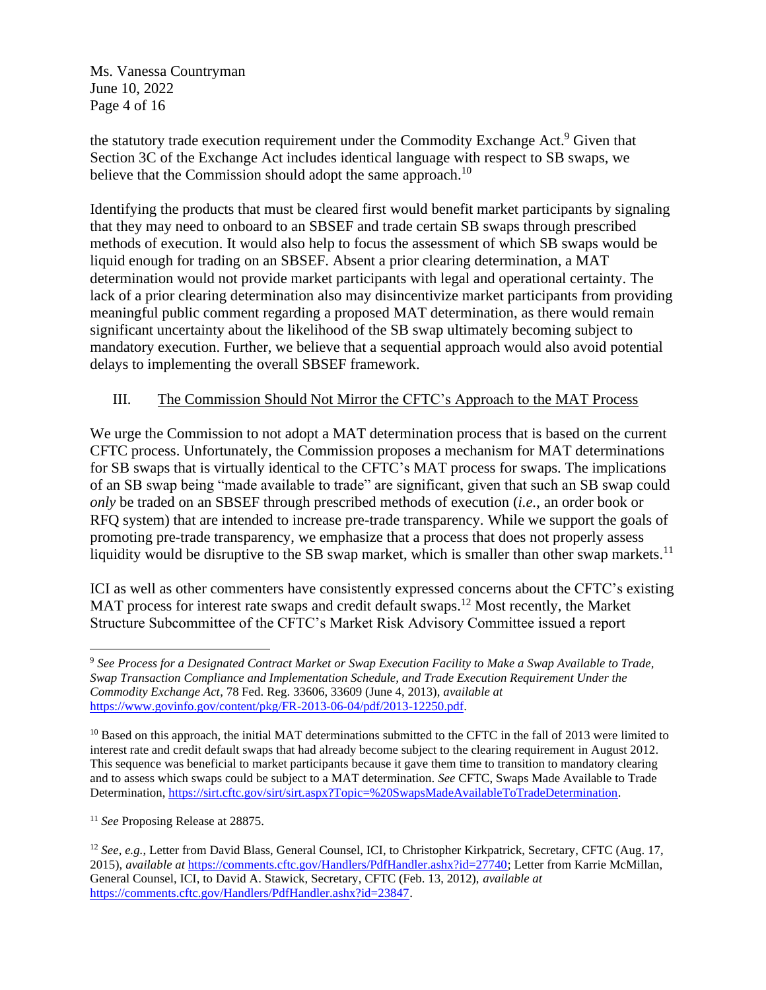[Ms. Vanessa Countryman](#page-0-0) June 10, 2022 Page 4 of 16

the statutory trade execution requirement under the Commodity Exchange Act.<sup>9</sup> Given that Section 3C of the Exchange Act includes identical language with respect to SB swaps, we believe that the Commission should adopt the same approach.<sup>10</sup>

Identifying the products that must be cleared first would benefit market participants by signaling that they may need to onboard to an SBSEF and trade certain SB swaps through prescribed methods of execution. It would also help to focus the assessment of which SB swaps would be liquid enough for trading on an SBSEF. Absent a prior clearing determination, a MAT determination would not provide market participants with legal and operational certainty. The lack of a prior clearing determination also may disincentivize market participants from providing meaningful public comment regarding a proposed MAT determination, as there would remain significant uncertainty about the likelihood of the SB swap ultimately becoming subject to mandatory execution. Further, we believe that a sequential approach would also avoid potential delays to implementing the overall SBSEF framework.

### III. The Commission Should Not Mirror the CFTC's Approach to the MAT Process

We urge the Commission to not adopt a MAT determination process that is based on the current CFTC process. Unfortunately, the Commission proposes a mechanism for MAT determinations for SB swaps that is virtually identical to the CFTC's MAT process for swaps. The implications of an SB swap being "made available to trade" are significant, given that such an SB swap could *only* be traded on an SBSEF through prescribed methods of execution (*i.e.*, an order book or RFQ system) that are intended to increase pre-trade transparency. While we support the goals of promoting pre-trade transparency, we emphasize that a process that does not properly assess liquidity would be disruptive to the SB swap market, which is smaller than other swap markets.<sup>11</sup>

ICI as well as other commenters have consistently expressed concerns about the CFTC's existing MAT process for interest rate swaps and credit default swaps.<sup>12</sup> Most recently, the Market Structure Subcommittee of the CFTC's Market Risk Advisory Committee issued a report

<sup>9</sup> *See Process for a Designated Contract Market or Swap Execution Facility to Make a Swap Available to Trade, Swap Transaction Compliance and Implementation Schedule, and Trade Execution Requirement Under the Commodity Exchange Act*, 78 Fed. Reg. 33606, 33609 (June 4, 2013), *available at* [https://www.govinfo.gov/content/pkg/FR-2013-06-04/pdf/2013-12250.pdf.](https://www.govinfo.gov/content/pkg/FR-2013-06-04/pdf/2013-12250.pdf)

<sup>&</sup>lt;sup>10</sup> Based on this approach, the initial MAT determinations submitted to the CFTC in the fall of 2013 were limited to interest rate and credit default swaps that had already become subject to the clearing requirement in August 2012. This sequence was beneficial to market participants because it gave them time to transition to mandatory clearing and to assess which swaps could be subject to a MAT determination. *See* CFTC, Swaps Made Available to Trade Determination, [https://sirt.cftc.gov/sirt/sirt.aspx?Topic=%20SwapsMadeAvailableToTradeDetermination.](https://sirt.cftc.gov/sirt/sirt.aspx?Topic=%20SwapsMadeAvailableToTradeDetermination)

<sup>11</sup> *See* Proposing Release at 28875.

<sup>12</sup> *See, e.g.*, Letter from David Blass, General Counsel, ICI, to Christopher Kirkpatrick, Secretary, CFTC (Aug. 17, 2015), *available at* [https://comments.cftc.gov/Handlers/PdfHandler.ashx?id=27740;](https://comments.cftc.gov/Handlers/PdfHandler.ashx?id=27740) Letter from Karrie McMillan, General Counsel, ICI, to David A. Stawick, Secretary, CFTC (Feb. 13, 2012), *available at* [https://comments.cftc.gov/Handlers/PdfHandler.ashx?id=23847.](https://comments.cftc.gov/Handlers/PdfHandler.ashx?id=23847)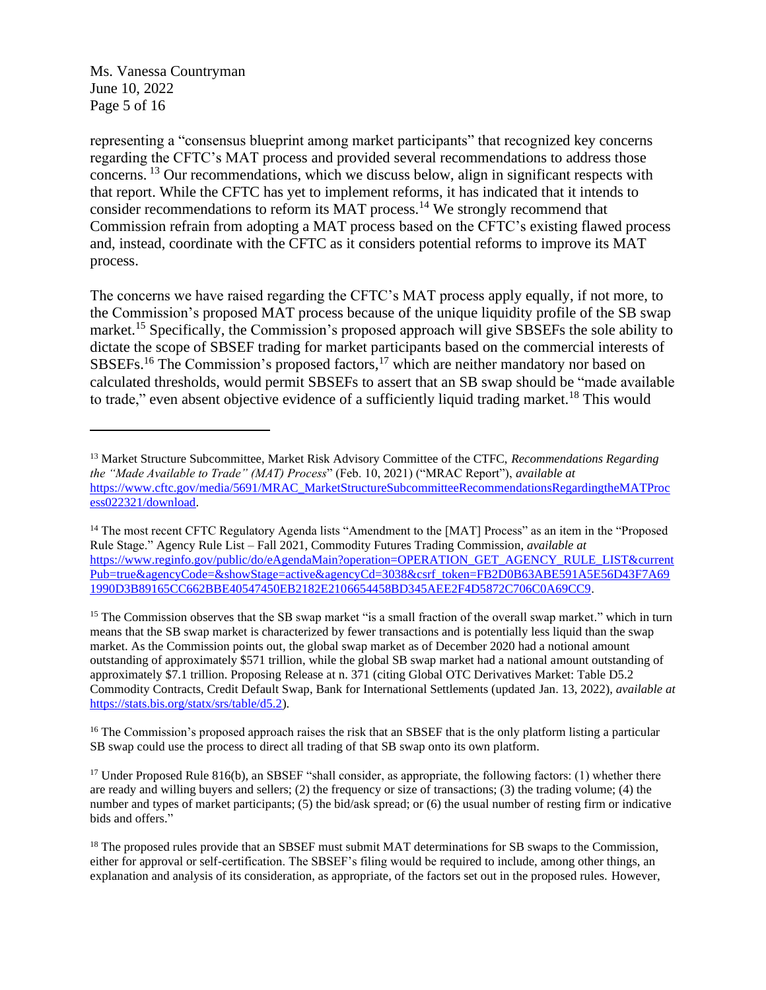[Ms. Vanessa Countryman](#page-0-0) June 10, 2022 Page 5 of 16

representing a "consensus blueprint among market participants" that recognized key concerns regarding the CFTC's MAT process and provided several recommendations to address those concerns. <sup>13</sup> Our recommendations, which we discuss below, align in significant respects with that report. While the CFTC has yet to implement reforms, it has indicated that it intends to consider recommendations to reform its MAT process.<sup>14</sup> We strongly recommend that Commission refrain from adopting a MAT process based on the CFTC's existing flawed process and, instead, coordinate with the CFTC as it considers potential reforms to improve its MAT process.

The concerns we have raised regarding the CFTC's MAT process apply equally, if not more, to the Commission's proposed MAT process because of the unique liquidity profile of the SB swap market.<sup>15</sup> Specifically, the Commission's proposed approach will give SBSEFs the sole ability to dictate the scope of SBSEF trading for market participants based on the commercial interests of SBSEFs.<sup>16</sup> The Commission's proposed factors,<sup>17</sup> which are neither mandatory nor based on calculated thresholds, would permit SBSEFs to assert that an SB swap should be "made available to trade," even absent objective evidence of a sufficiently liquid trading market.<sup>18</sup> This would

<sup>15</sup> The Commission observes that the SB swap market "is a small fraction of the overall swap market." which in turn means that the SB swap market is characterized by fewer transactions and is potentially less liquid than the swap market. As the Commission points out, the global swap market as of December 2020 had a notional amount outstanding of approximately \$571 trillion, while the global SB swap market had a national amount outstanding of approximately \$7.1 trillion. Proposing Release at n. 371 (citing Global OTC Derivatives Market: Table D5.2 Commodity Contracts, Credit Default Swap, Bank for International Settlements (updated Jan. 13, 2022), *available at* [https://stats.bis.org/statx/srs/table/d5.2\)](https://stats.bis.org/statx/srs/table/d5.2).

<sup>16</sup> The Commission's proposed approach raises the risk that an SBSEF that is the only platform listing a particular SB swap could use the process to direct all trading of that SB swap onto its own platform.

<sup>17</sup> Under Proposed Rule 816(b), an SBSEF "shall consider, as appropriate, the following factors: (1) whether there are ready and willing buyers and sellers; (2) the frequency or size of transactions; (3) the trading volume; (4) the number and types of market participants; (5) the bid/ask spread; or (6) the usual number of resting firm or indicative bids and offers."

<sup>13</sup> Market Structure Subcommittee, Market Risk Advisory Committee of the CTFC, *Recommendations Regarding the "Made Available to Trade" (MAT) Process*" (Feb. 10, 2021) ("MRAC Report"), *available at* [https://www.cftc.gov/media/5691/MRAC\\_MarketStructureSubcommitteeRecommendationsRegardingtheMATProc](https://www.cftc.gov/media/5691/MRAC_MarketStructureSubcommitteeRecommendationsRegardingtheMATProcess022321/download) [ess022321/download.](https://www.cftc.gov/media/5691/MRAC_MarketStructureSubcommitteeRecommendationsRegardingtheMATProcess022321/download)

<sup>&</sup>lt;sup>14</sup> The most recent CFTC Regulatory Agenda lists "Amendment to the [MAT] Process" as an item in the "Proposed Rule Stage." Agency Rule List – Fall 2021, Commodity Futures Trading Commission, *available at* [https://www.reginfo.gov/public/do/eAgendaMain?operation=OPERATION\\_GET\\_AGENCY\\_RULE\\_LIST&current](https://www.reginfo.gov/public/do/eAgendaMain?operation=OPERATION_GET_AGENCY_RULE_LIST¤tPub=true&agencyCode=&showStage=active&agencyCd=3038&csrf_token=FB2D0B63ABE591A5E56D43F7A691990D3B89165CC662BBE40547450EB2182E2106654458BD345AEE2F4D5872C706C0A69CC9) [Pub=true&agencyCode=&showStage=active&agencyCd=3038&csrf\\_token=FB2D0B63ABE591A5E56D43F7A69](https://www.reginfo.gov/public/do/eAgendaMain?operation=OPERATION_GET_AGENCY_RULE_LIST¤tPub=true&agencyCode=&showStage=active&agencyCd=3038&csrf_token=FB2D0B63ABE591A5E56D43F7A691990D3B89165CC662BBE40547450EB2182E2106654458BD345AEE2F4D5872C706C0A69CC9) [1990D3B89165CC662BBE40547450EB2182E2106654458BD345AEE2F4D5872C706C0A69CC9.](https://www.reginfo.gov/public/do/eAgendaMain?operation=OPERATION_GET_AGENCY_RULE_LIST¤tPub=true&agencyCode=&showStage=active&agencyCd=3038&csrf_token=FB2D0B63ABE591A5E56D43F7A691990D3B89165CC662BBE40547450EB2182E2106654458BD345AEE2F4D5872C706C0A69CC9)

<sup>&</sup>lt;sup>18</sup> The proposed rules provide that an SBSEF must submit MAT determinations for SB swaps to the Commission, either for approval or self-certification. The SBSEF's filing would be required to include, among other things, an explanation and analysis of its consideration, as appropriate, of the factors set out in the proposed rules. However,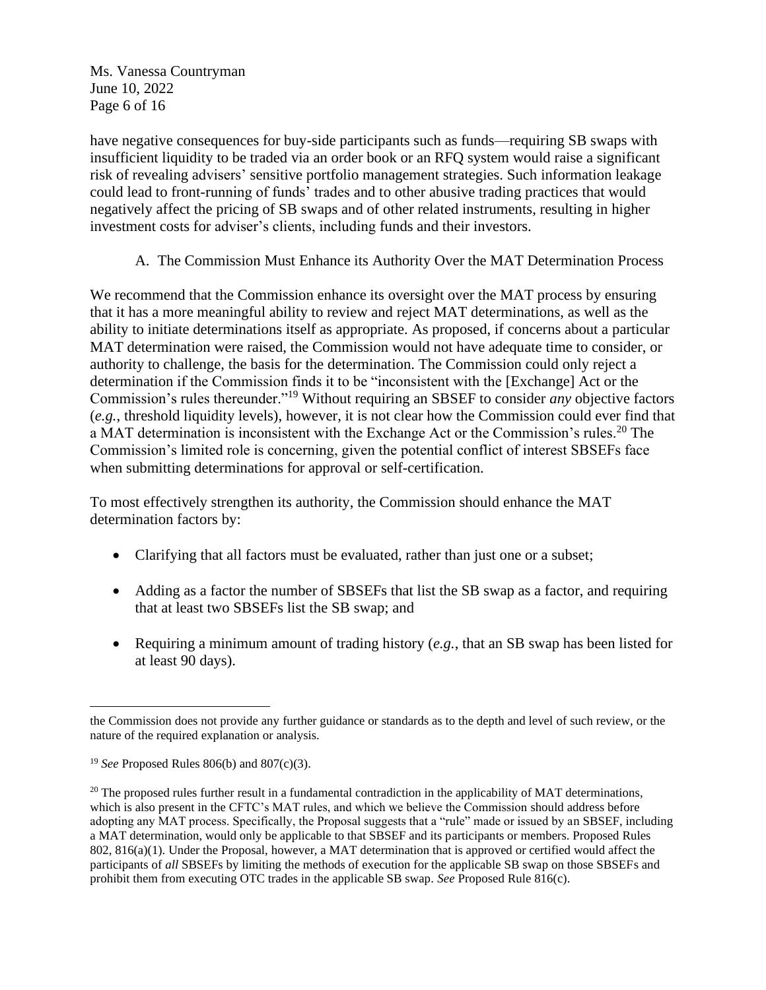[Ms. Vanessa Countryman](#page-0-0) June 10, 2022 Page 6 of 16

have negative consequences for buy-side participants such as funds—requiring SB swaps with insufficient liquidity to be traded via an order book or an RFQ system would raise a significant risk of revealing advisers' sensitive portfolio management strategies. Such information leakage could lead to front-running of funds' trades and to other abusive trading practices that would negatively affect the pricing of SB swaps and of other related instruments, resulting in higher investment costs for adviser's clients, including funds and their investors.

A. The Commission Must Enhance its Authority Over the MAT Determination Process

We recommend that the Commission enhance its oversight over the MAT process by ensuring that it has a more meaningful ability to review and reject MAT determinations, as well as the ability to initiate determinations itself as appropriate. As proposed, if concerns about a particular MAT determination were raised, the Commission would not have adequate time to consider, or authority to challenge, the basis for the determination. The Commission could only reject a determination if the Commission finds it to be "inconsistent with the [Exchange] Act or the Commission's rules thereunder."<sup>19</sup> Without requiring an SBSEF to consider *any* objective factors (*e.g.*, threshold liquidity levels), however, it is not clear how the Commission could ever find that a MAT determination is inconsistent with the Exchange Act or the Commission's rules.<sup>20</sup> The Commission's limited role is concerning, given the potential conflict of interest SBSEFs face when submitting determinations for approval or self-certification.

To most effectively strengthen its authority, the Commission should enhance the MAT determination factors by:

- Clarifying that all factors must be evaluated, rather than just one or a subset;
- Adding as a factor the number of SBSEFs that list the SB swap as a factor, and requiring that at least two SBSEFs list the SB swap; and
- Requiring a minimum amount of trading history (*e.g.*, that an SB swap has been listed for at least 90 days).

the Commission does not provide any further guidance or standards as to the depth and level of such review, or the nature of the required explanation or analysis.

<sup>19</sup> *See* Proposed Rules 806(b) and 807(c)(3).

 $20$  The proposed rules further result in a fundamental contradiction in the applicability of MAT determinations, which is also present in the CFTC's MAT rules, and which we believe the Commission should address before adopting any MAT process. Specifically, the Proposal suggests that a "rule" made or issued by an SBSEF, including a MAT determination, would only be applicable to that SBSEF and its participants or members. Proposed Rules 802, 816(a)(1). Under the Proposal, however, a MAT determination that is approved or certified would affect the participants of *all* SBSEFs by limiting the methods of execution for the applicable SB swap on those SBSEFs and prohibit them from executing OTC trades in the applicable SB swap. *See* Proposed Rule 816(c).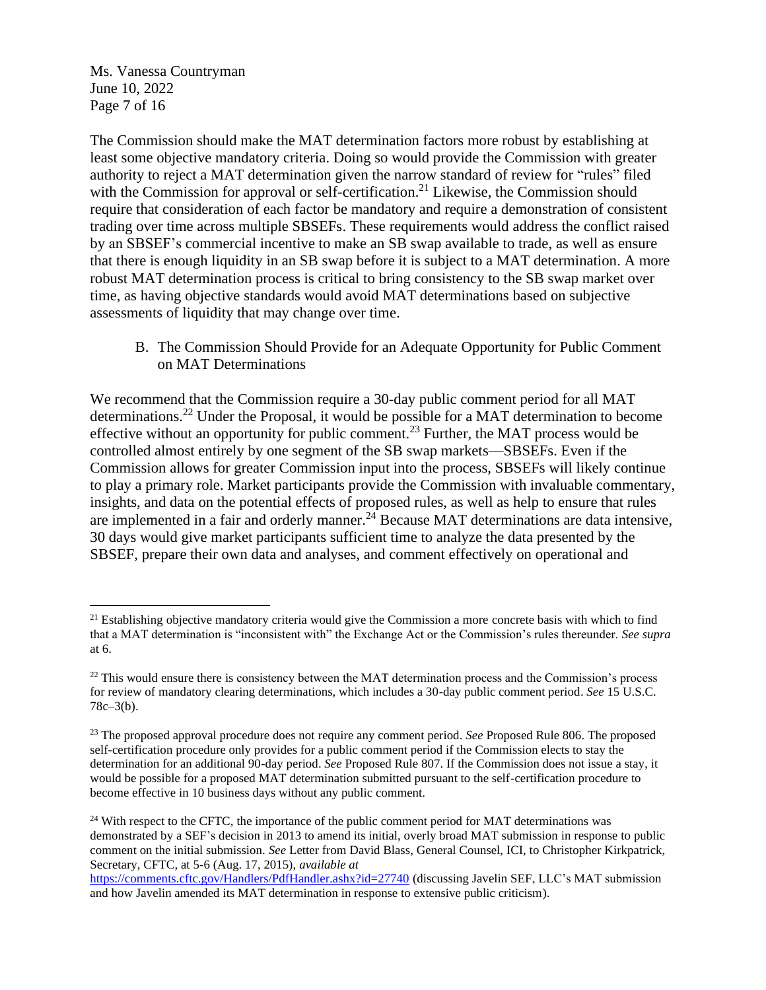[Ms. Vanessa Countryman](#page-0-0) June 10, 2022 Page 7 of 16

The Commission should make the MAT determination factors more robust by establishing at least some objective mandatory criteria. Doing so would provide the Commission with greater authority to reject a MAT determination given the narrow standard of review for "rules" filed with the Commission for approval or self-certification.<sup>21</sup> Likewise, the Commission should require that consideration of each factor be mandatory and require a demonstration of consistent trading over time across multiple SBSEFs. These requirements would address the conflict raised by an SBSEF's commercial incentive to make an SB swap available to trade, as well as ensure that there is enough liquidity in an SB swap before it is subject to a MAT determination. A more robust MAT determination process is critical to bring consistency to the SB swap market over time, as having objective standards would avoid MAT determinations based on subjective assessments of liquidity that may change over time.

B. The Commission Should Provide for an Adequate Opportunity for Public Comment on MAT Determinations

We recommend that the Commission require a 30-day public comment period for all MAT determinations.<sup>22</sup> Under the Proposal, it would be possible for a MAT determination to become effective without an opportunity for public comment.<sup>23</sup> Further, the MAT process would be controlled almost entirely by one segment of the SB swap markets—SBSEFs. Even if the Commission allows for greater Commission input into the process, SBSEFs will likely continue to play a primary role. Market participants provide the Commission with invaluable commentary, insights, and data on the potential effects of proposed rules, as well as help to ensure that rules are implemented in a fair and orderly manner.<sup>24</sup> Because MAT determinations are data intensive, 30 days would give market participants sufficient time to analyze the data presented by the SBSEF, prepare their own data and analyses, and comment effectively on operational and

<sup>&</sup>lt;sup>21</sup> Establishing objective mandatory criteria would give the Commission a more concrete basis with which to find that a MAT determination is "inconsistent with" the Exchange Act or the Commission's rules thereunder. *See supra* at 6.

 $22$  This would ensure there is consistency between the MAT determination process and the Commission's process for review of mandatory clearing determinations, which includes a 30-day public comment period. *See* 15 U.S.C.  $78c-3(b)$ .

<sup>23</sup> The proposed approval procedure does not require any comment period. *See* Proposed Rule 806. The proposed self-certification procedure only provides for a public comment period if the Commission elects to stay the determination for an additional 90-day period. *See* Proposed Rule 807. If the Commission does not issue a stay, it would be possible for a proposed MAT determination submitted pursuant to the self-certification procedure to become effective in 10 business days without any public comment.

<sup>&</sup>lt;sup>24</sup> With respect to the CFTC, the importance of the public comment period for MAT determinations was demonstrated by a SEF's decision in 2013 to amend its initial, overly broad MAT submission in response to public comment on the initial submission. *See* Letter from David Blass, General Counsel, ICI, to Christopher Kirkpatrick, Secretary, CFTC, at 5-6 (Aug. 17, 2015), *available at*

<https://comments.cftc.gov/Handlers/PdfHandler.ashx?id=27740> (discussing Javelin SEF, LLC's MAT submission and how Javelin amended its MAT determination in response to extensive public criticism).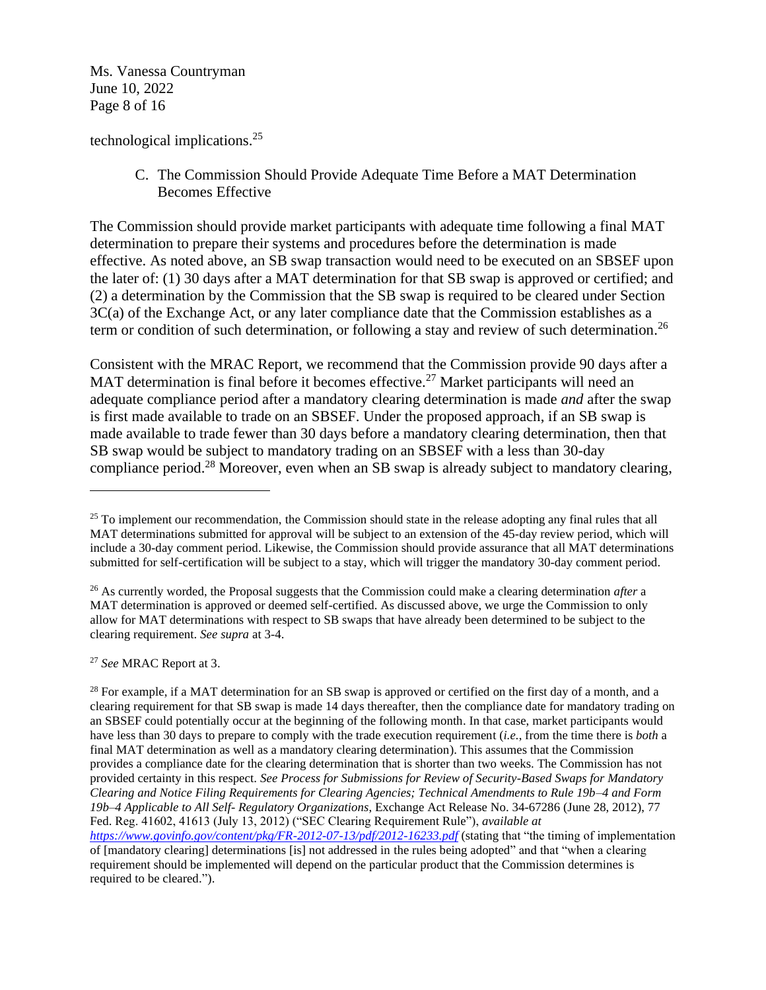[Ms. Vanessa Countryman](#page-0-0) June 10, 2022 Page 8 of 16

technological implications. 25

C. The Commission Should Provide Adequate Time Before a MAT Determination Becomes Effective

The Commission should provide market participants with adequate time following a final MAT determination to prepare their systems and procedures before the determination is made effective. As noted above, an SB swap transaction would need to be executed on an SBSEF upon the later of: (1) 30 days after a MAT determination for that SB swap is approved or certified; and (2) a determination by the Commission that the SB swap is required to be cleared under Section 3C(a) of the Exchange Act, or any later compliance date that the Commission establishes as a term or condition of such determination, or following a stay and review of such determination.<sup>26</sup>

Consistent with the MRAC Report, we recommend that the Commission provide 90 days after a MAT determination is final before it becomes effective.<sup>27</sup> Market participants will need an adequate compliance period after a mandatory clearing determination is made *and* after the swap is first made available to trade on an SBSEF. Under the proposed approach, if an SB swap is made available to trade fewer than 30 days before a mandatory clearing determination, then that SB swap would be subject to mandatory trading on an SBSEF with a less than 30-day compliance period.<sup>28</sup> Moreover, even when an SB swap is already subject to mandatory clearing,

<sup>27</sup> *See* MRAC Report at 3.

<sup>&</sup>lt;sup>25</sup> To implement our recommendation, the Commission should state in the release adopting any final rules that all MAT determinations submitted for approval will be subject to an extension of the 45-day review period, which will include a 30-day comment period. Likewise, the Commission should provide assurance that all MAT determinations submitted for self-certification will be subject to a stay, which will trigger the mandatory 30-day comment period.

<sup>26</sup> As currently worded, the Proposal suggests that the Commission could make a clearing determination *after* a MAT determination is approved or deemed self-certified. As discussed above, we urge the Commission to only allow for MAT determinations with respect to SB swaps that have already been determined to be subject to the clearing requirement. *See supra* at 3-4.

 $^{28}$  For example, if a MAT determination for an SB swap is approved or certified on the first day of a month, and a clearing requirement for that SB swap is made 14 days thereafter, then the compliance date for mandatory trading on an SBSEF could potentially occur at the beginning of the following month. In that case, market participants would have less than 30 days to prepare to comply with the trade execution requirement (*i.e.*, from the time there is *both* a final MAT determination as well as a mandatory clearing determination). This assumes that the Commission provides a compliance date for the clearing determination that is shorter than two weeks. The Commission has not provided certainty in this respect. *See Process for Submissions for Review of Security-Based Swaps for Mandatory Clearing and Notice Filing Requirements for Clearing Agencies; Technical Amendments to Rule 19b–4 and Form 19b–4 Applicable to All Self- Regulatory Organizations*, Exchange Act Release No. 34-67286 (June 28, 2012), 77 Fed. Reg. 41602, 41613 (July 13, 2012) ("SEC Clearing Requirement Rule"), *available at <https://www.govinfo.gov/content/pkg/FR-2012-07-13/pdf/2012-16233.pdf>* (stating that "the timing of implementation of [mandatory clearing] determinations [is] not addressed in the rules being adopted" and that "when a clearing requirement should be implemented will depend on the particular product that the Commission determines is required to be cleared.").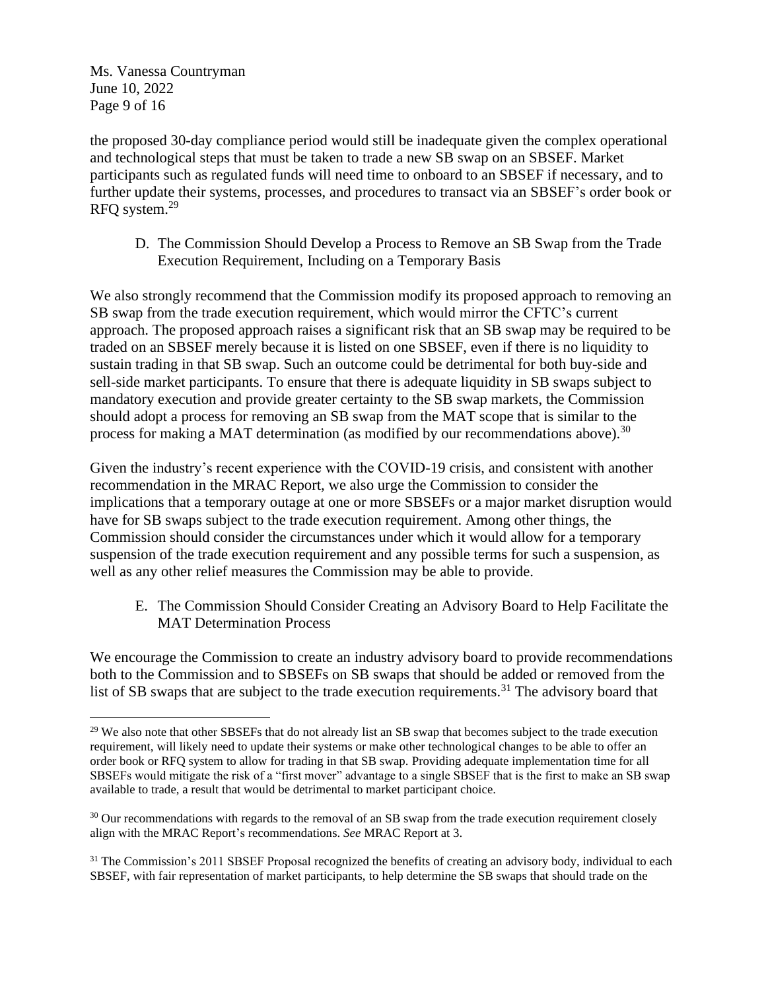[Ms. Vanessa Countryman](#page-0-0) June 10, 2022 Page 9 of 16

the proposed 30-day compliance period would still be inadequate given the complex operational and technological steps that must be taken to trade a new SB swap on an SBSEF. Market participants such as regulated funds will need time to onboard to an SBSEF if necessary, and to further update their systems, processes, and procedures to transact via an SBSEF's order book or RFQ system. 29

D. The Commission Should Develop a Process to Remove an SB Swap from the Trade Execution Requirement, Including on a Temporary Basis

We also strongly recommend that the Commission modify its proposed approach to removing an SB swap from the trade execution requirement, which would mirror the CFTC's current approach. The proposed approach raises a significant risk that an SB swap may be required to be traded on an SBSEF merely because it is listed on one SBSEF, even if there is no liquidity to sustain trading in that SB swap. Such an outcome could be detrimental for both buy-side and sell-side market participants. To ensure that there is adequate liquidity in SB swaps subject to mandatory execution and provide greater certainty to the SB swap markets, the Commission should adopt a process for removing an SB swap from the MAT scope that is similar to the process for making a MAT determination (as modified by our recommendations above).<sup>30</sup>

Given the industry's recent experience with the COVID-19 crisis, and consistent with another recommendation in the MRAC Report, we also urge the Commission to consider the implications that a temporary outage at one or more SBSEFs or a major market disruption would have for SB swaps subject to the trade execution requirement. Among other things, the Commission should consider the circumstances under which it would allow for a temporary suspension of the trade execution requirement and any possible terms for such a suspension, as well as any other relief measures the Commission may be able to provide.

E. The Commission Should Consider Creating an Advisory Board to Help Facilitate the MAT Determination Process

We encourage the Commission to create an industry advisory board to provide recommendations both to the Commission and to SBSEFs on SB swaps that should be added or removed from the list of SB swaps that are subject to the trade execution requirements.<sup>31</sup> The advisory board that

<sup>&</sup>lt;sup>29</sup> We also note that other SBSEFs that do not already list an SB swap that becomes subject to the trade execution requirement, will likely need to update their systems or make other technological changes to be able to offer an order book or RFQ system to allow for trading in that SB swap. Providing adequate implementation time for all SBSEFs would mitigate the risk of a "first mover" advantage to a single SBSEF that is the first to make an SB swap available to trade, a result that would be detrimental to market participant choice.

<sup>&</sup>lt;sup>30</sup> Our recommendations with regards to the removal of an SB swap from the trade execution requirement closely align with the MRAC Report's recommendations. *See* MRAC Report at 3.

 $31$  The Commission's 2011 SBSEF Proposal recognized the benefits of creating an advisory body, individual to each SBSEF, with fair representation of market participants, to help determine the SB swaps that should trade on the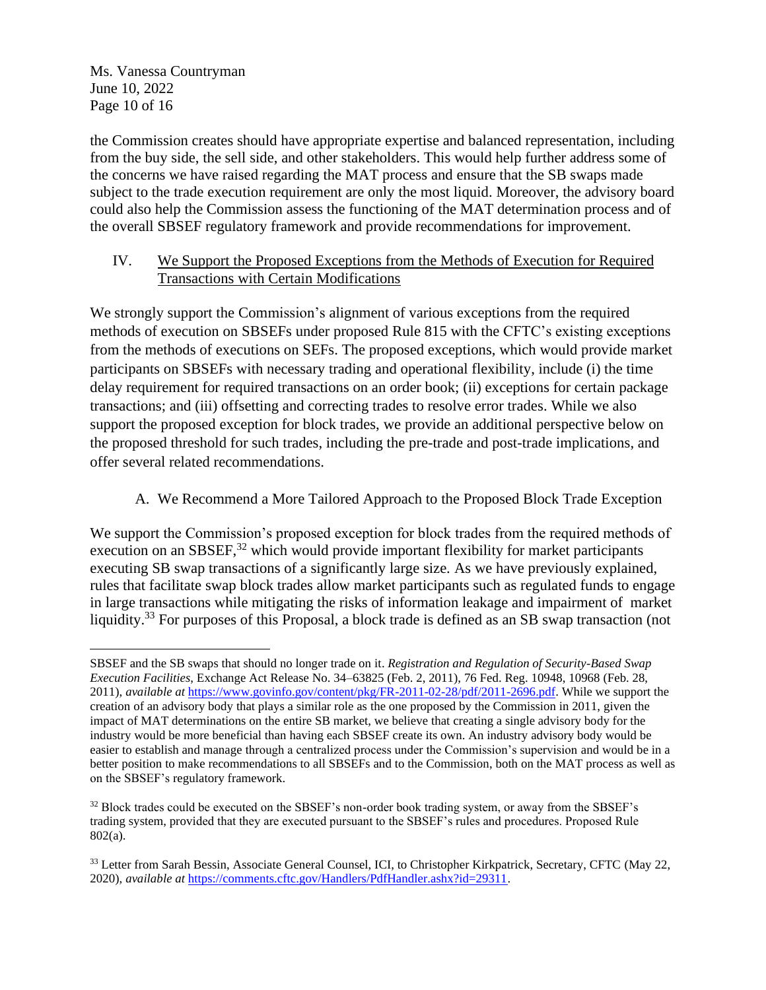[Ms. Vanessa Countryman](#page-0-0) June 10, 2022 Page 10 of 16

the Commission creates should have appropriate expertise and balanced representation, including from the buy side, the sell side, and other stakeholders. This would help further address some of the concerns we have raised regarding the MAT process and ensure that the SB swaps made subject to the trade execution requirement are only the most liquid. Moreover, the advisory board could also help the Commission assess the functioning of the MAT determination process and of the overall SBSEF regulatory framework and provide recommendations for improvement.

# IV. We Support the Proposed Exceptions from the Methods of Execution for Required Transactions with Certain Modifications

We strongly support the Commission's alignment of various exceptions from the required methods of execution on SBSEFs under proposed Rule 815 with the CFTC's existing exceptions from the methods of executions on SEFs. The proposed exceptions, which would provide market participants on SBSEFs with necessary trading and operational flexibility, include (i) the time delay requirement for required transactions on an order book; (ii) exceptions for certain package transactions; and (iii) offsetting and correcting trades to resolve error trades. While we also support the proposed exception for block trades, we provide an additional perspective below on the proposed threshold for such trades, including the pre-trade and post-trade implications, and offer several related recommendations.

A. We Recommend a More Tailored Approach to the Proposed Block Trade Exception

We support the Commission's proposed exception for block trades from the required methods of execution on an SBSEF, $32$  which would provide important flexibility for market participants executing SB swap transactions of a significantly large size. As we have previously explained, rules that facilitate swap block trades allow market participants such as regulated funds to engage in large transactions while mitigating the risks of information leakage and impairment of market liquidity.<sup>33</sup> For purposes of this Proposal, a block trade is defined as an SB swap transaction (not

SBSEF and the SB swaps that should no longer trade on it. *Registration and Regulation of Security-Based Swap Execution Facilities*, Exchange Act Release No. 34–63825 (Feb. 2, 2011), 76 Fed. Reg. 10948, 10968 (Feb. 28, 2011), *available at* [https://www.govinfo.gov/content/pkg/FR-2011-02-28/pdf/2011-2696.pdf.](https://www.govinfo.gov/content/pkg/FR-2011-02-28/pdf/2011-2696.pdf) While we support the creation of an advisory body that plays a similar role as the one proposed by the Commission in 2011, given the impact of MAT determinations on the entire SB market, we believe that creating a single advisory body for the industry would be more beneficial than having each SBSEF create its own. An industry advisory body would be easier to establish and manage through a centralized process under the Commission's supervision and would be in a better position to make recommendations to all SBSEFs and to the Commission, both on the MAT process as well as on the SBSEF's regulatory framework.

 $32$  Block trades could be executed on the SBSEF's non-order book trading system, or away from the SBSEF's trading system, provided that they are executed pursuant to the SBSEF's rules and procedures. Proposed Rule 802(a).

<sup>&</sup>lt;sup>33</sup> Letter from Sarah Bessin, Associate General Counsel, ICI, to Christopher Kirkpatrick, Secretary, CFTC (May 22, 2020), *available at* [https://comments.cftc.gov/Handlers/PdfHandler.ashx?id=29311.](https://comments.cftc.gov/Handlers/PdfHandler.ashx?id=29311)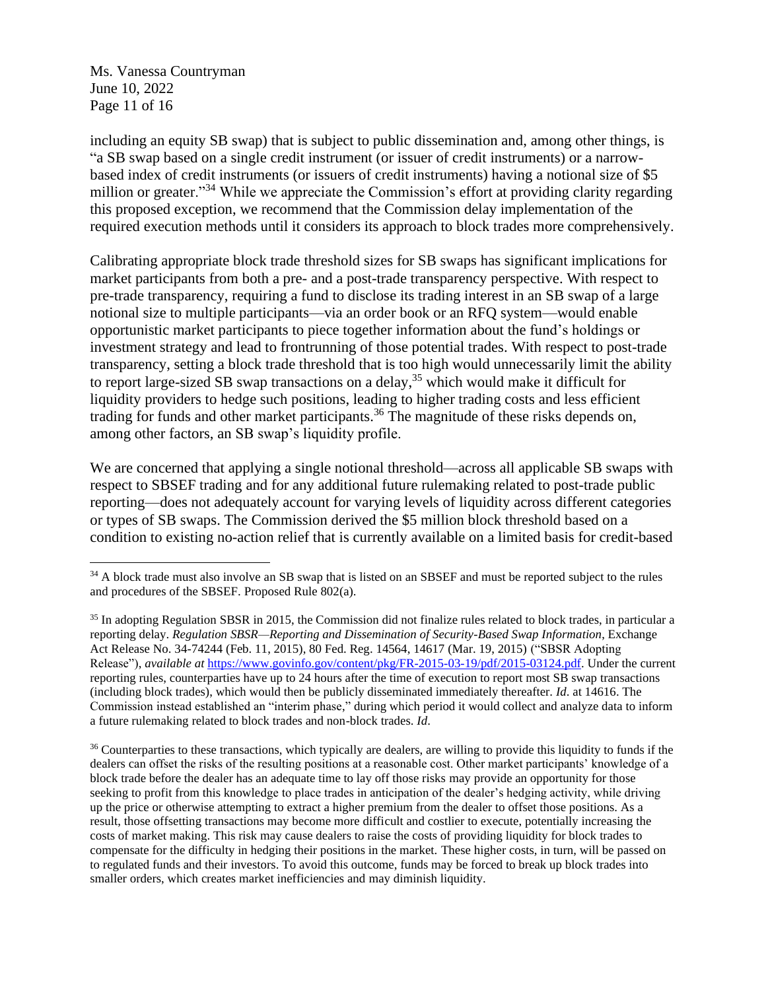[Ms. Vanessa Countryman](#page-0-0) June 10, 2022 Page 11 of 16

including an equity SB swap) that is subject to public dissemination and, among other things, is "a SB swap based on a single credit instrument (or issuer of credit instruments) or a narrowbased index of credit instruments (or issuers of credit instruments) having a notional size of \$5 million or greater."<sup>34</sup> While we appreciate the Commission's effort at providing clarity regarding this proposed exception, we recommend that the Commission delay implementation of the required execution methods until it considers its approach to block trades more comprehensively.

Calibrating appropriate block trade threshold sizes for SB swaps has significant implications for market participants from both a pre- and a post-trade transparency perspective. With respect to pre-trade transparency, requiring a fund to disclose its trading interest in an SB swap of a large notional size to multiple participants—via an order book or an RFQ system—would enable opportunistic market participants to piece together information about the fund's holdings or investment strategy and lead to frontrunning of those potential trades. With respect to post-trade transparency, setting a block trade threshold that is too high would unnecessarily limit the ability to report large-sized SB swap transactions on a delay,<sup>35</sup> which would make it difficult for liquidity providers to hedge such positions, leading to higher trading costs and less efficient trading for funds and other market participants.<sup>36</sup> The magnitude of these risks depends on, among other factors, an SB swap's liquidity profile.

We are concerned that applying a single notional threshold—across all applicable SB swaps with respect to SBSEF trading and for any additional future rulemaking related to post-trade public reporting—does not adequately account for varying levels of liquidity across different categories or types of SB swaps. The Commission derived the \$5 million block threshold based on a condition to existing no-action relief that is currently available on a limited basis for credit-based

<sup>&</sup>lt;sup>34</sup> A block trade must also involve an SB swap that is listed on an SBSEF and must be reported subject to the rules and procedures of the SBSEF. Proposed Rule 802(a).

 $35$  In adopting Regulation SBSR in 2015, the Commission did not finalize rules related to block trades, in particular a reporting delay. *Regulation SBSR—Reporting and Dissemination of Security-Based Swap Information*, Exchange Act Release No. 34-74244 (Feb. 11, 2015), 80 Fed. Reg. 14564, 14617 (Mar. 19, 2015) ("SBSR Adopting Release"), *available at [https://www.govinfo.gov/content/pkg/FR-2015-03-19/pdf/2015-03124.pdf.](https://www.govinfo.gov/content/pkg/FR-2015-03-19/pdf/2015-03124.pdf)* Under the current reporting rules, counterparties have up to 24 hours after the time of execution to report most SB swap transactions (including block trades), which would then be publicly disseminated immediately thereafter. *Id*. at 14616. The Commission instead established an "interim phase," during which period it would collect and analyze data to inform a future rulemaking related to block trades and non-block trades. *Id*.

<sup>&</sup>lt;sup>36</sup> Counterparties to these transactions, which typically are dealers, are willing to provide this liquidity to funds if the dealers can offset the risks of the resulting positions at a reasonable cost. Other market participants' knowledge of a block trade before the dealer has an adequate time to lay off those risks may provide an opportunity for those seeking to profit from this knowledge to place trades in anticipation of the dealer's hedging activity, while driving up the price or otherwise attempting to extract a higher premium from the dealer to offset those positions. As a result, those offsetting transactions may become more difficult and costlier to execute, potentially increasing the costs of market making. This risk may cause dealers to raise the costs of providing liquidity for block trades to compensate for the difficulty in hedging their positions in the market. These higher costs, in turn, will be passed on to regulated funds and their investors. To avoid this outcome, funds may be forced to break up block trades into smaller orders, which creates market inefficiencies and may diminish liquidity.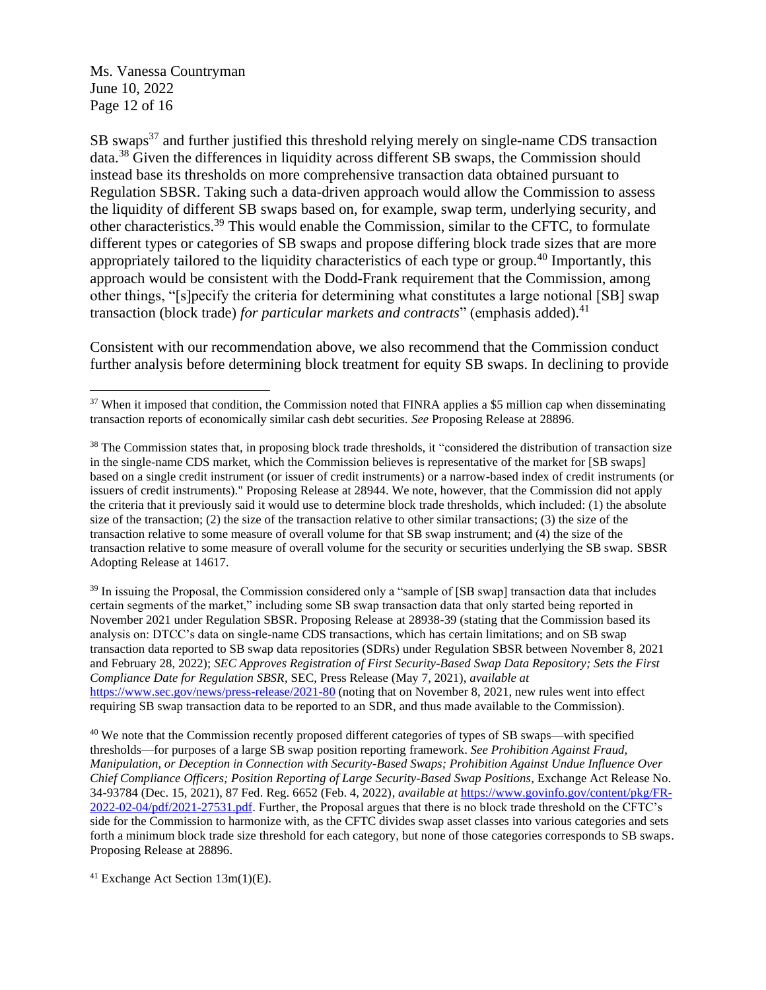[Ms. Vanessa Countryman](#page-0-0) June 10, 2022 Page 12 of 16

 $SB$  swaps<sup>37</sup> and further justified this threshold relying merely on single-name CDS transaction data.<sup>38</sup> Given the differences in liquidity across different SB swaps, the Commission should instead base its thresholds on more comprehensive transaction data obtained pursuant to Regulation SBSR. Taking such a data-driven approach would allow the Commission to assess the liquidity of different SB swaps based on, for example, swap term, underlying security, and other characteristics.<sup>39</sup> This would enable the Commission, similar to the CFTC, to formulate different types or categories of SB swaps and propose differing block trade sizes that are more appropriately tailored to the liquidity characteristics of each type or group. <sup>40</sup> Importantly, this approach would be consistent with the Dodd-Frank requirement that the Commission, among other things, "[s]pecify the criteria for determining what constitutes a large notional [SB] swap transaction (block trade) *for particular markets and contracts*" (emphasis added).<sup>41</sup>

Consistent with our recommendation above, we also recommend that the Commission conduct further analysis before determining block treatment for equity SB swaps. In declining to provide

 $39$  In issuing the Proposal, the Commission considered only a "sample of [SB swap] transaction data that includes certain segments of the market," including some SB swap transaction data that only started being reported in November 2021 under Regulation SBSR. Proposing Release at 28938-39 (stating that the Commission based its analysis on: DTCC's data on single-name CDS transactions, which has certain limitations; and on SB swap transaction data reported to SB swap data repositories (SDRs) under Regulation SBSR between November 8, 2021 and February 28, 2022); *SEC Approves Registration of First Security-Based Swap Data Repository; Sets the First Compliance Date for Regulation SBSR*, SEC, Press Release (May 7, 2021), *available at* <https://www.sec.gov/news/press-release/2021-80> (noting that on November 8, 2021, new rules went into effect requiring SB swap transaction data to be reported to an SDR, and thus made available to the Commission).

<sup>40</sup> We note that the Commission recently proposed different categories of types of SB swaps—with specified thresholds—for purposes of a large SB swap position reporting framework. *See Prohibition Against Fraud, Manipulation, or Deception in Connection with Security-Based Swaps; Prohibition Against Undue Influence Over Chief Compliance Officers; Position Reporting of Large Security-Based Swap Positions*, Exchange Act Release No. 34-93784 (Dec. 15, 2021), 87 Fed. Reg. 6652 (Feb. 4, 2022), *available at* [https://www.govinfo.gov/content/pkg/FR-](https://www.govinfo.gov/content/pkg/FR-2022-02-04/pdf/2021-27531.pdf)[2022-02-04/pdf/2021-27531.pdf.](https://www.govinfo.gov/content/pkg/FR-2022-02-04/pdf/2021-27531.pdf) Further, the Proposal argues that there is no block trade threshold on the CFTC's side for the Commission to harmonize with, as the CFTC divides swap asset classes into various categories and sets forth a minimum block trade size threshold for each category, but none of those categories corresponds to SB swaps. Proposing Release at 28896.

<sup>41</sup> Exchange Act Section  $13m(1)$ (E).

 $37$  When it imposed that condition, the Commission noted that FINRA applies a \$5 million cap when disseminating transaction reports of economically similar cash debt securities. *See* Proposing Release at 28896.

<sup>&</sup>lt;sup>38</sup> The Commission states that, in proposing block trade thresholds, it "considered the distribution of transaction size in the single-name CDS market, which the Commission believes is representative of the market for [SB swaps] based on a single credit instrument (or issuer of credit instruments) or a narrow-based index of credit instruments (or issuers of credit instruments)." Proposing Release at 28944. We note, however, that the Commission did not apply the criteria that it previously said it would use to determine block trade thresholds, which included: (1) the absolute size of the transaction; (2) the size of the transaction relative to other similar transactions; (3) the size of the transaction relative to some measure of overall volume for that SB swap instrument; and (4) the size of the transaction relative to some measure of overall volume for the security or securities underlying the SB swap. SBSR Adopting Release at 14617.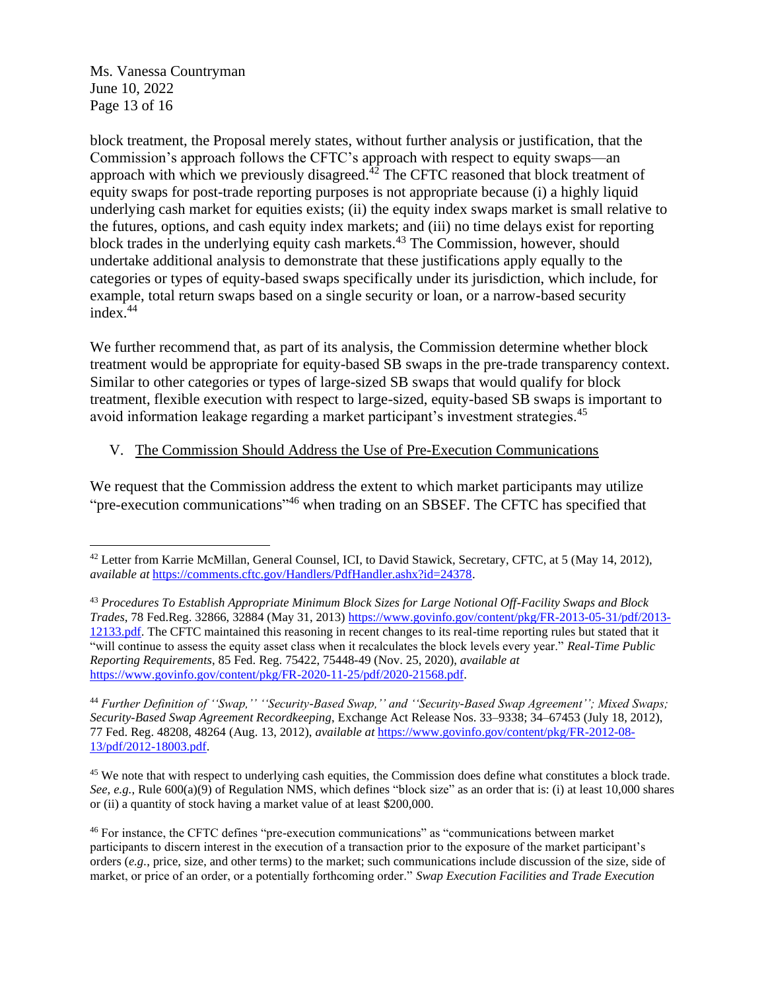[Ms. Vanessa Countryman](#page-0-0) June 10, 2022 Page 13 of 16

block treatment, the Proposal merely states, without further analysis or justification, that the Commission's approach follows the CFTC's approach with respect to equity swaps—an approach with which we previously disagreed. $^{1/2}$  The CFTC reasoned that block treatment of equity swaps for post-trade reporting purposes is not appropriate because (i) a highly liquid underlying cash market for equities exists; (ii) the equity index swaps market is small relative to the futures, options, and cash equity index markets; and (iii) no time delays exist for reporting block trades in the underlying equity cash markets.<sup>43</sup> The Commission, however, should undertake additional analysis to demonstrate that these justifications apply equally to the categories or types of equity-based swaps specifically under its jurisdiction, which include, for example, total return swaps based on a single security or loan, or a narrow-based security index. 44

We further recommend that, as part of its analysis, the Commission determine whether block treatment would be appropriate for equity-based SB swaps in the pre-trade transparency context. Similar to other categories or types of large-sized SB swaps that would qualify for block treatment, flexible execution with respect to large-sized, equity-based SB swaps is important to avoid information leakage regarding a market participant's investment strategies.<sup>45</sup>

# V. The Commission Should Address the Use of Pre-Execution Communications

We request that the Commission address the extent to which market participants may utilize "pre-execution communications"<sup>46</sup> when trading on an SBSEF. The CFTC has specified that

<sup>44</sup> *Further Definition of ''Swap,'' ''Security-Based Swap,'' and ''Security-Based Swap Agreement''; Mixed Swaps; Security-Based Swap Agreement Recordkeeping*, Exchange Act Release Nos. 33–9338; 34–67453 (July 18, 2012), 77 Fed. Reg. 48208, 48264 (Aug. 13, 2012), *available at* [https://www.govinfo.gov/content/pkg/FR-2012-08-](https://www.govinfo.gov/content/pkg/FR-2012-08-13/pdf/2012-18003.pdf) [13/pdf/2012-18003.pdf.](https://www.govinfo.gov/content/pkg/FR-2012-08-13/pdf/2012-18003.pdf)

<sup>45</sup> We note that with respect to underlying cash equities, the Commission does define what constitutes a block trade. *See, e.g.*, Rule 600(a)(9) of Regulation NMS, which defines "block size" as an order that is: (i) at least 10,000 shares or (ii) a quantity of stock having a market value of at least \$200,000.

<sup>42</sup> Letter from Karrie McMillan, General Counsel, ICI, to David Stawick, Secretary, CFTC, at 5 (May 14, 2012), *available at* [https://comments.cftc.gov/Handlers/PdfHandler.ashx?id=24378.](https://comments.cftc.gov/Handlers/PdfHandler.ashx?id=24378)

<sup>43</sup> *Procedures To Establish Appropriate Minimum Block Sizes for Large Notional Off-Facility Swaps and Block Trades*, 78 Fed.Reg. 32866, 32884 (May 31, 2013) [https://www.govinfo.gov/content/pkg/FR-2013-05-31/pdf/2013-](https://www.govinfo.gov/content/pkg/FR-2013-05-31/pdf/2013-12133.pdf) [12133.pdf.](https://www.govinfo.gov/content/pkg/FR-2013-05-31/pdf/2013-12133.pdf) The CFTC maintained this reasoning in recent changes to its real-time reporting rules but stated that it "will continue to assess the equity asset class when it recalculates the block levels every year." *Real-Time Public Reporting Requirements*, 85 Fed. Reg. 75422, 75448-49 (Nov. 25, 2020), *available at* [https://www.govinfo.gov/content/pkg/FR-2020-11-25/pdf/2020-21568.pdf.](https://www.govinfo.gov/content/pkg/FR-2020-11-25/pdf/2020-21568.pdf)

<sup>46</sup> For instance, the CFTC defines "pre-execution communications" as "communications between market participants to discern interest in the execution of a transaction prior to the exposure of the market participant's orders (*e.g.*, price, size, and other terms) to the market; such communications include discussion of the size, side of market, or price of an order, or a potentially forthcoming order." *Swap Execution Facilities and Trade Execution*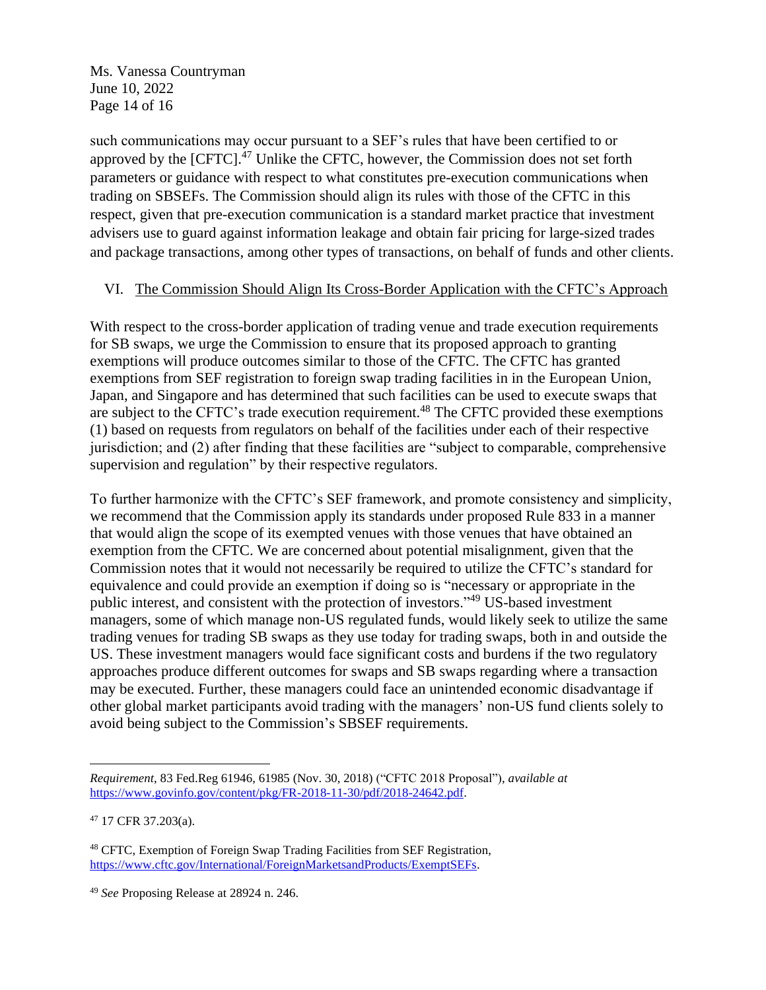[Ms. Vanessa Countryman](#page-0-0) June 10, 2022 Page 14 of 16

such communications may occur pursuant to a SEF's rules that have been certified to or approved by the [CFTC].<sup>47</sup> Unlike the CFTC, however, the Commission does not set forth parameters or guidance with respect to what constitutes pre-execution communications when trading on SBSEFs. The Commission should align its rules with those of the CFTC in this respect, given that pre-execution communication is a standard market practice that investment advisers use to guard against information leakage and obtain fair pricing for large-sized trades and package transactions, among other types of transactions, on behalf of funds and other clients.

### VI. The Commission Should Align Its Cross-Border Application with the CFTC's Approach

With respect to the cross-border application of trading venue and trade execution requirements for SB swaps, we urge the Commission to ensure that its proposed approach to granting exemptions will produce outcomes similar to those of the CFTC. The CFTC has granted exemptions from SEF registration to foreign swap trading facilities in in the European Union, Japan, and Singapore and has determined that such facilities can be used to execute swaps that are subject to the CFTC's trade execution requirement.<sup>48</sup> The CFTC provided these exemptions (1) based on requests from regulators on behalf of the facilities under each of their respective jurisdiction; and (2) after finding that these facilities are "subject to comparable, comprehensive supervision and regulation" by their respective regulators.

To further harmonize with the CFTC's SEF framework, and promote consistency and simplicity, we recommend that the Commission apply its standards under proposed Rule 833 in a manner that would align the scope of its exempted venues with those venues that have obtained an exemption from the CFTC. We are concerned about potential misalignment, given that the Commission notes that it would not necessarily be required to utilize the CFTC's standard for equivalence and could provide an exemption if doing so is "necessary or appropriate in the public interest, and consistent with the protection of investors."<sup>49</sup> US-based investment managers, some of which manage non-US regulated funds, would likely seek to utilize the same trading venues for trading SB swaps as they use today for trading swaps, both in and outside the US. These investment managers would face significant costs and burdens if the two regulatory approaches produce different outcomes for swaps and SB swaps regarding where a transaction may be executed. Further, these managers could face an unintended economic disadvantage if other global market participants avoid trading with the managers' non-US fund clients solely to avoid being subject to the Commission's SBSEF requirements.

*Requirement*, 83 Fed.Reg 61946, 61985 (Nov. 30, 2018) ("CFTC 2018 Proposal"), *available at*  [https://www.govinfo.gov/content/pkg/FR-2018-11-30/pdf/2018-24642.pdf.](https://www.govinfo.gov/content/pkg/FR-2018-11-30/pdf/2018-24642.pdf)

<sup>47</sup> 17 CFR 37.203(a).

<sup>48</sup> CFTC, Exemption of Foreign Swap Trading Facilities from SEF Registration, [https://www.cftc.gov/International/ForeignMarketsandProducts/ExemptSEFs.](https://www.cftc.gov/International/ForeignMarketsandProducts/ExemptSEFs) 

<sup>49</sup> *See* Proposing Release at 28924 n. 246.